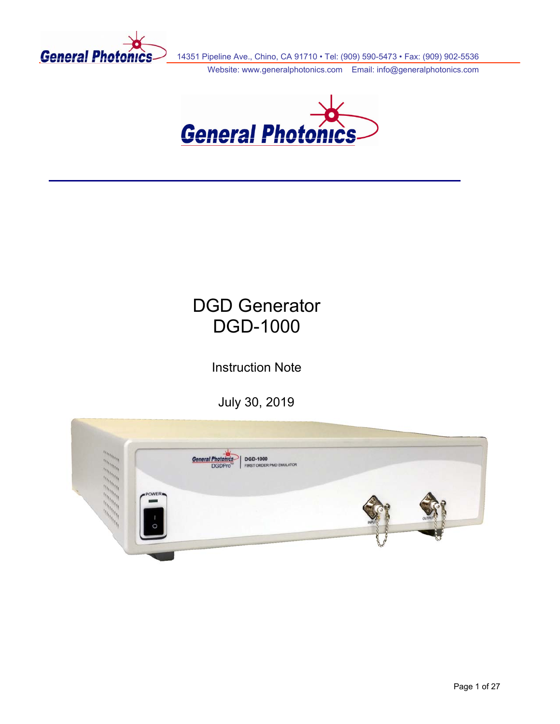

14351 Pipeline Ave., Chino, CA 91710 • Tel: (909) 590-5473 • Fax: (909) 902-5536

Website: www.generalphotonics.com Email: info@generalphotonics.com



# DGD Generator DGD-1000

Instruction Note

July 30, 2019

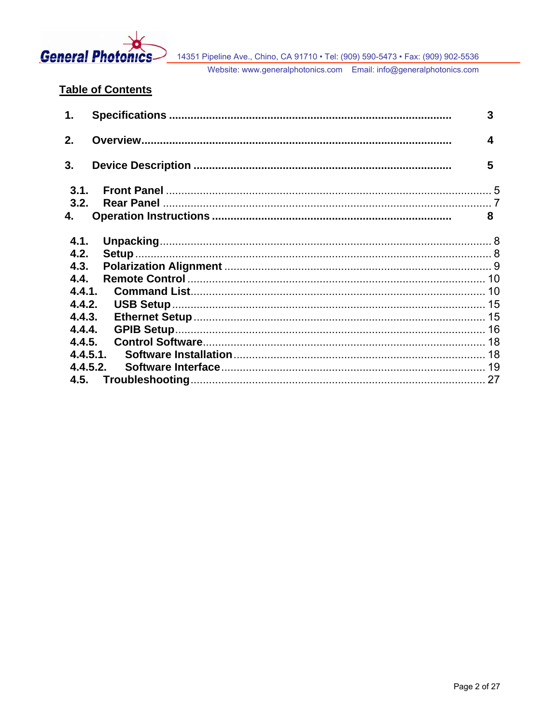

# **Table of Contents**

| $\mathbf{1}$ . |          | 3 |
|----------------|----------|---|
| 2.             |          | 4 |
| 3.             |          | 5 |
| 3.1.           |          |   |
| 3.2.           |          |   |
| 4.             |          | 8 |
| 4.1.           |          |   |
| 4.2.           |          |   |
| 4.3.           |          |   |
| 4.4.           |          |   |
| 4.4.1.         |          |   |
| 4.4.2.         |          |   |
| 4.4.3.         |          |   |
| 4.4.4.         |          |   |
| 4.4.5.         |          |   |
|                | 4.4.5.1. |   |
|                | 4.4.5.2. |   |
| 4.5.           |          |   |
|                |          |   |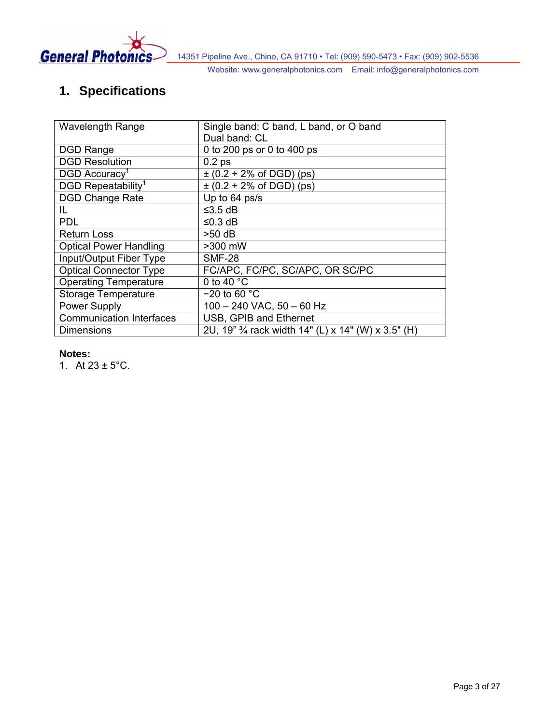<span id="page-2-0"></span>

# **1. Specifications**

| <b>Wavelength Range</b>         | Single band: C band, L band, or O band              |  |  |
|---------------------------------|-----------------------------------------------------|--|--|
|                                 | Dual band: CL                                       |  |  |
| <b>DGD Range</b>                | 0 to 200 ps or 0 to 400 ps                          |  |  |
| <b>DGD Resolution</b>           | 0.2 <sub>ps</sub>                                   |  |  |
| DGD Accuracy <sup>1</sup>       | $\pm$ (0.2 + 2% of DGD) (ps)                        |  |  |
| DGD Repeatability <sup>1</sup>  | $\pm$ (0.2 + 2% of DGD) (ps)                        |  |  |
| <b>DGD Change Rate</b>          | Up to 64 ps/s                                       |  |  |
| IL                              | ≤3.5 $dB$                                           |  |  |
| <b>PDL</b>                      | ≤0.3 dB                                             |  |  |
| <b>Return Loss</b>              | >50 dB                                              |  |  |
| <b>Optical Power Handling</b>   | >300 mW                                             |  |  |
| Input/Output Fiber Type         | <b>SMF-28</b>                                       |  |  |
| <b>Optical Connector Type</b>   | FC/APC, FC/PC, SC/APC, OR SC/PC                     |  |  |
| <b>Operating Temperature</b>    | 0 to 40 $^{\circ}$ C                                |  |  |
| <b>Storage Temperature</b>      | $-20$ to 60 $^{\circ}$ C                            |  |  |
| Power Supply                    | $100 - 240$ VAC, $50 - 60$ Hz                       |  |  |
| <b>Communication Interfaces</b> | USB, GPIB and Ethernet                              |  |  |
| Dimensions                      | 2U, 19" 3/4 rack width 14" (L) x 14" (W) x 3.5" (H) |  |  |

### **Notes:**

1. At  $23 \pm 5^{\circ}$ C.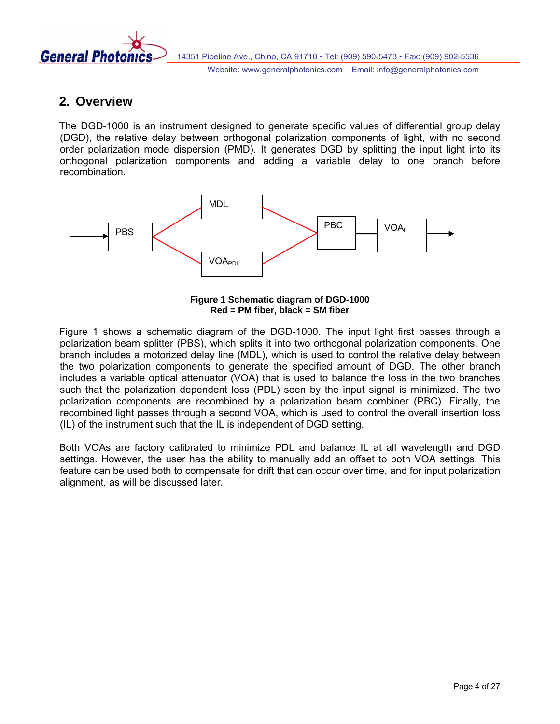<span id="page-3-0"></span>

# **2. Overview**

The DGD-1000 is an instrument designed to generate specific values of differential group delay (DGD), the relative delay between orthogonal polarization components of light, with no second order polarization mode dispersion (PMD). It generates DGD by splitting the input light into its orthogonal polarization components and adding a variable delay to one branch before recombination.



**Figure 1 Schematic diagram of DGD-1000 Red = PM fiber, black = SM fiber** 

<span id="page-3-1"></span>[Figure 1](#page-3-1) shows a schematic diagram of the DGD-1000. The input light first passes through a polarization beam splitter (PBS), which splits it into two orthogonal polarization components. One branch includes a motorized delay line (MDL), which is used to control the relative delay between the two polarization components to generate the specified amount of DGD. The other branch includes a variable optical attenuator (VOA) that is used to balance the loss in the two branches such that the polarization dependent loss (PDL) seen by the input signal is minimized. The two polarization components are recombined by a polarization beam combiner (PBC). Finally, the recombined light passes through a second VOA, which is used to control the overall insertion loss (IL) of the instrument such that the IL is independent of DGD setting.

Both VOAs are factory calibrated to minimize PDL and balance IL at all wavelength and DGD settings. However, the user has the ability to manually add an offset to both VOA settings. This feature can be used both to compensate for drift that can occur over time, and for input polarization alignment, as will be discussed later.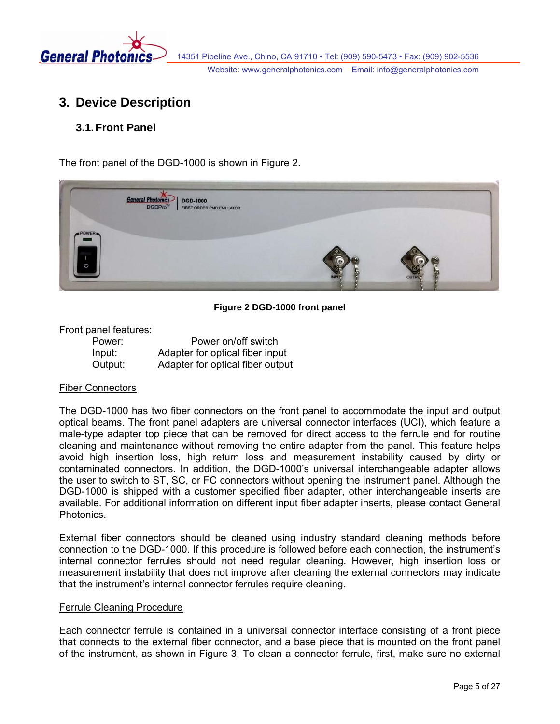<span id="page-4-0"></span>

# **3. Device Description**

# **3.1. Front Panel**

The front panel of the DGD-1000 is shown in [Figure 2.](#page-4-1)



**Figure 2 DGD-1000 front panel** 

#### <span id="page-4-1"></span>Front panel features:

| Power:  | Power on/off switch              |
|---------|----------------------------------|
| Input:  | Adapter for optical fiber input  |
| Output: | Adapter for optical fiber output |

#### Fiber Connectors

The DGD-1000 has two fiber connectors on the front panel to accommodate the input and output optical beams. The front panel adapters are universal connector interfaces (UCI), which feature a male-type adapter top piece that can be removed for direct access to the ferrule end for routine cleaning and maintenance without removing the entire adapter from the panel. This feature helps avoid high insertion loss, high return loss and measurement instability caused by dirty or contaminated connectors. In addition, the DGD-1000's universal interchangeable adapter allows the user to switch to ST, SC, or FC connectors without opening the instrument panel. Although the DGD-1000 is shipped with a customer specified fiber adapter, other interchangeable inserts are available. For additional information on different input fiber adapter inserts, please contact General Photonics.

External fiber connectors should be cleaned using industry standard cleaning methods before connection to the DGD-1000. If this procedure is followed before each connection, the instrument's internal connector ferrules should not need regular cleaning. However, high insertion loss or measurement instability that does not improve after cleaning the external connectors may indicate that the instrument's internal connector ferrules require cleaning.

#### Ferrule Cleaning Procedure

Each connector ferrule is contained in a universal connector interface consisting of a front piece that connects to the external fiber connector, and a base piece that is mounted on the front panel of the instrument, as shown in [Figure 3.](#page-5-0) To clean a connector ferrule, first, make sure no external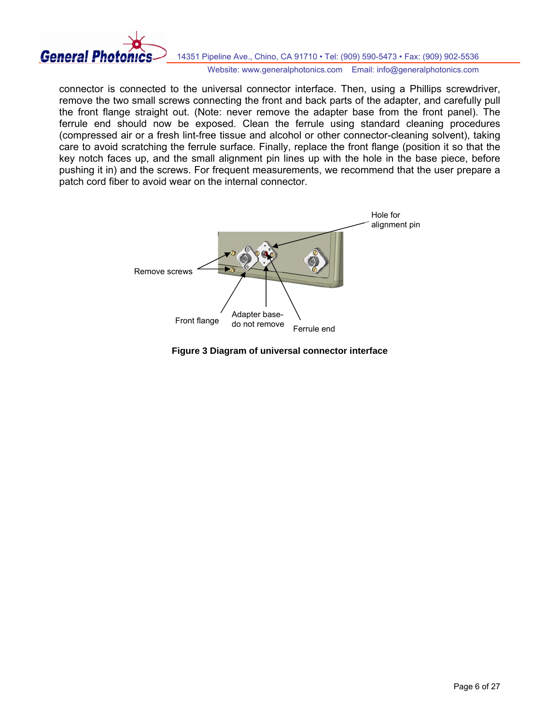

connector is connected to the universal connector interface. Then, using a Phillips screwdriver, remove the two small screws connecting the front and back parts of the adapter, and carefully pull the front flange straight out. (Note: never remove the adapter base from the front panel). The ferrule end should now be exposed. Clean the ferrule using standard cleaning procedures (compressed air or a fresh lint-free tissue and alcohol or other connector-cleaning solvent), taking care to avoid scratching the ferrule surface. Finally, replace the front flange (position it so that the key notch faces up, and the small alignment pin lines up with the hole in the base piece, before pushing it in) and the screws. For frequent measurements, we recommend that the user prepare a patch cord fiber to avoid wear on the internal connector.



<span id="page-5-0"></span>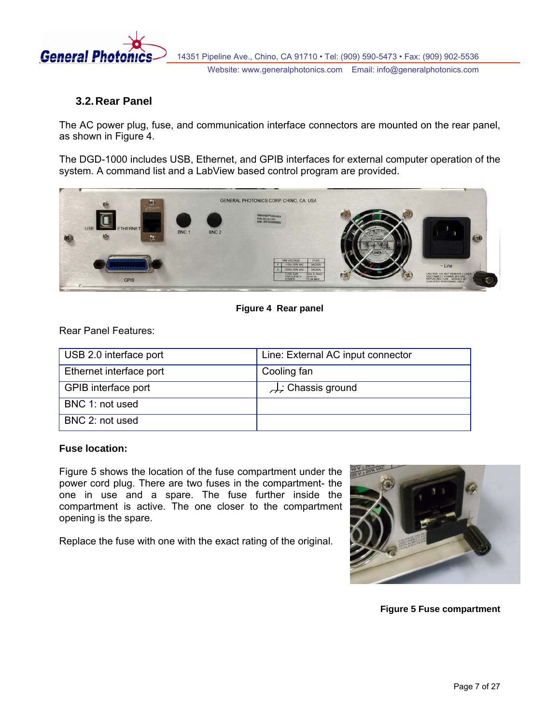<span id="page-6-0"></span>

# **3.2. Rear Panel**

The AC power plug, fuse, and communication interface connectors are mounted on the rear panel, as shown in [Figure 4](#page-6-1).

The DGD-1000 includes USB, Ethernet, and GPIB interfaces for external computer operation of the system. A command list and a LabView based control program are provided.



**Figure 4 Rear panel** 

<span id="page-6-1"></span>Rear Panel Features:

| USB 2.0 interface port  | Line: External AC input connector |
|-------------------------|-----------------------------------|
| Ethernet interface port | Cooling fan                       |
| GPIB interface port     | Chassis ground                    |
| BNC 1: not used         |                                   |
| BNC 2: not used         |                                   |

# **Fuse location:**

[Figure 5](#page-6-2) shows the location of the fuse compartment under the power cord plug. There are two fuses in the compartment- the one in use and a spare. The fuse further inside the compartment is active. The one closer to the compartment opening is the spare.

<span id="page-6-2"></span>Replace the fuse with one with the exact rating of the original.



**Figure 5 Fuse compartment**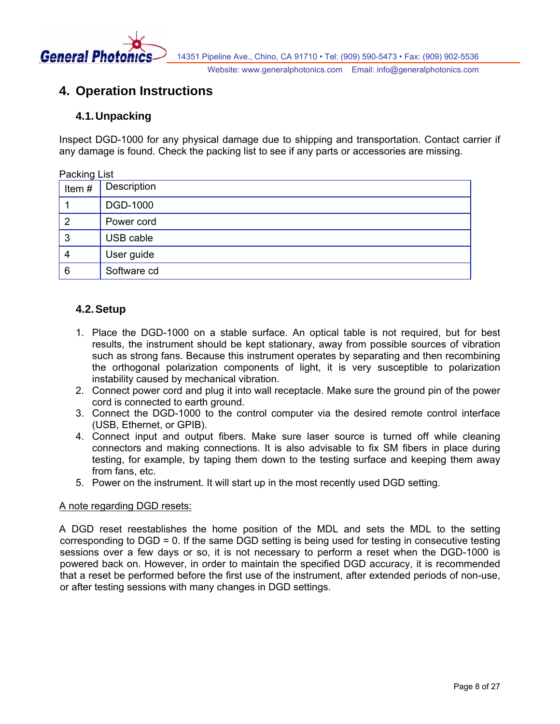<span id="page-7-0"></span>

# **4. Operation Instructions**

# **4.1. Unpacking**

Inspect DGD-1000 for any physical damage due to shipping and transportation. Contact carrier if any damage is found. Check the packing list to see if any parts or accessories are missing.

| Packing List   |             |
|----------------|-------------|
| Item#          | Description |
|                | DGD-1000    |
| $\overline{2}$ | Power cord  |
| 3              | USB cable   |
| 4              | User guide  |
| 6              | Software cd |

# **4.2. Setup**

- 1. Place the DGD-1000 on a stable surface. An optical table is not required, but for best results, the instrument should be kept stationary, away from possible sources of vibration such as strong fans. Because this instrument operates by separating and then recombining the orthogonal polarization components of light, it is very susceptible to polarization instability caused by mechanical vibration.
- 2. Connect power cord and plug it into wall receptacle. Make sure the ground pin of the power cord is connected to earth ground.
- 3. Connect the DGD-1000 to the control computer via the desired remote control interface (USB, Ethernet, or GPIB).
- 4. Connect input and output fibers. Make sure laser source is turned off while cleaning connectors and making connections. It is also advisable to fix SM fibers in place during testing, for example, by taping them down to the testing surface and keeping them away from fans, etc.
- 5. Power on the instrument. It will start up in the most recently used DGD setting.

### A note regarding DGD resets:

A DGD reset reestablishes the home position of the MDL and sets the MDL to the setting corresponding to DGD = 0. If the same DGD setting is being used for testing in consecutive testing sessions over a few days or so, it is not necessary to perform a reset when the DGD-1000 is powered back on. However, in order to maintain the specified DGD accuracy, it is recommended that a reset be performed before the first use of the instrument, after extended periods of non-use, or after testing sessions with many changes in DGD settings.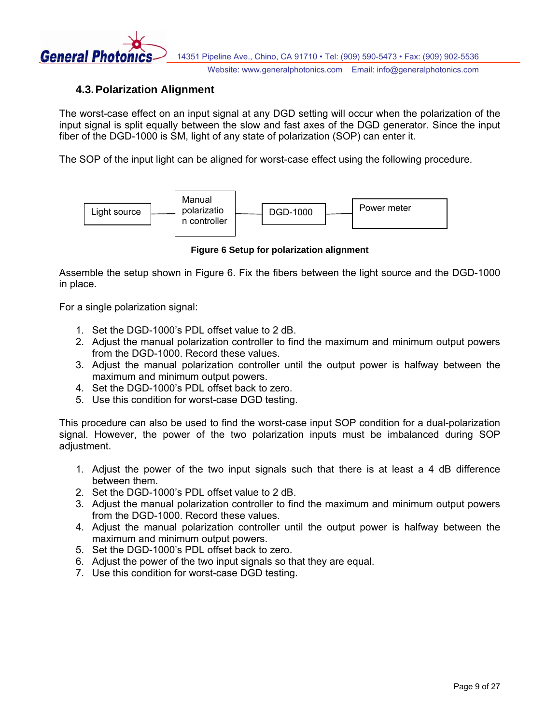<span id="page-8-0"></span>

# **4.3. Polarization Alignment**

The worst-case effect on an input signal at any DGD setting will occur when the polarization of the input signal is split equally between the slow and fast axes of the DGD generator. Since the input fiber of the DGD-1000 is SM, light of any state of polarization (SOP) can enter it.

The SOP of the input light can be aligned for worst-case effect using the following procedure.



**Figure 6 Setup for polarization alignment**

<span id="page-8-1"></span>Assemble the setup shown in [Figure 6.](#page-8-1) Fix the fibers between the light source and the DGD-1000 in place.

For a single polarization signal:

- 1. Set the DGD-1000's PDL offset value to 2 dB.
- 2. Adjust the manual polarization controller to find the maximum and minimum output powers from the DGD-1000. Record these values.
- 3. Adjust the manual polarization controller until the output power is halfway between the maximum and minimum output powers.
- 4. Set the DGD-1000's PDL offset back to zero.
- 5. Use this condition for worst-case DGD testing.

This procedure can also be used to find the worst-case input SOP condition for a dual-polarization signal. However, the power of the two polarization inputs must be imbalanced during SOP adjustment.

- 1. Adjust the power of the two input signals such that there is at least a 4 dB difference between them.
- 2. Set the DGD-1000's PDL offset value to 2 dB.
- 3. Adjust the manual polarization controller to find the maximum and minimum output powers from the DGD-1000. Record these values.
- 4. Adjust the manual polarization controller until the output power is halfway between the maximum and minimum output powers.
- 5. Set the DGD-1000's PDL offset back to zero.
- 6. Adjust the power of the two input signals so that they are equal.
- 7. Use this condition for worst-case DGD testing.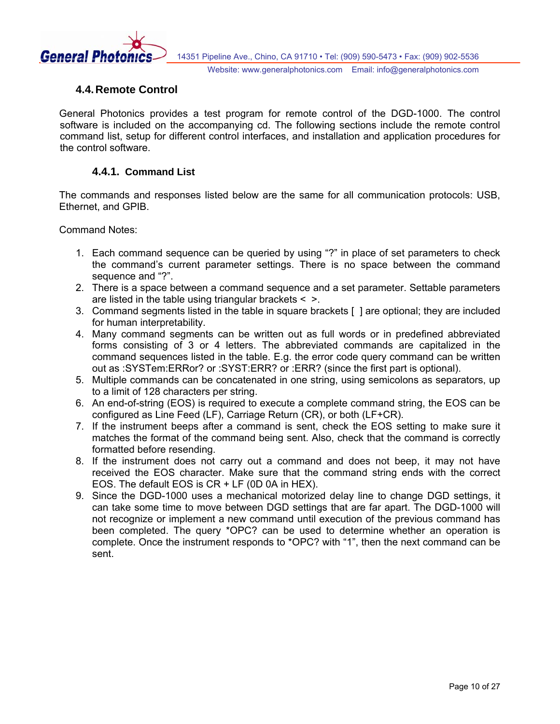<span id="page-9-0"></span>

# **4.4. Remote Control**

General Photonics provides a test program for remote control of the DGD-1000. The control software is included on the accompanying cd. The following sections include the remote control command list, setup for different control interfaces, and installation and application procedures for the control software.

#### **4.4.1. Command List**

The commands and responses listed below are the same for all communication protocols: USB, Ethernet, and GPIB.

Command Notes:

- 1. Each command sequence can be queried by using "?" in place of set parameters to check the command's current parameter settings. There is no space between the command sequence and "?".
- 2. There is a space between a command sequence and a set parameter. Settable parameters are listed in the table using triangular brackets  $\leq$   $\geq$ .
- 3. Command segments listed in the table in square brackets [ ] are optional; they are included for human interpretability.
- 4. Many command segments can be written out as full words or in predefined abbreviated forms consisting of 3 or 4 letters. The abbreviated commands are capitalized in the command sequences listed in the table. E.g. the error code query command can be written out as :SYSTem:ERRor? or :SYST:ERR? or :ERR? (since the first part is optional).
- 5. Multiple commands can be concatenated in one string, using semicolons as separators, up to a limit of 128 characters per string.
- 6. An end-of-string (EOS) is required to execute a complete command string, the EOS can be configured as Line Feed (LF), Carriage Return (CR), or both (LF+CR).
- 7. If the instrument beeps after a command is sent, check the EOS setting to make sure it matches the format of the command being sent. Also, check that the command is correctly formatted before resending.
- 8. If the instrument does not carry out a command and does not beep, it may not have received the EOS character. Make sure that the command string ends with the correct EOS. The default EOS is CR + LF (0D 0A in HEX).
- 9. Since the DGD-1000 uses a mechanical motorized delay line to change DGD settings, it can take some time to move between DGD settings that are far apart. The DGD-1000 will not recognize or implement a new command until execution of the previous command has been completed. The query \*OPC? can be used to determine whether an operation is complete. Once the instrument responds to \*OPC? with "1", then the next command can be sent.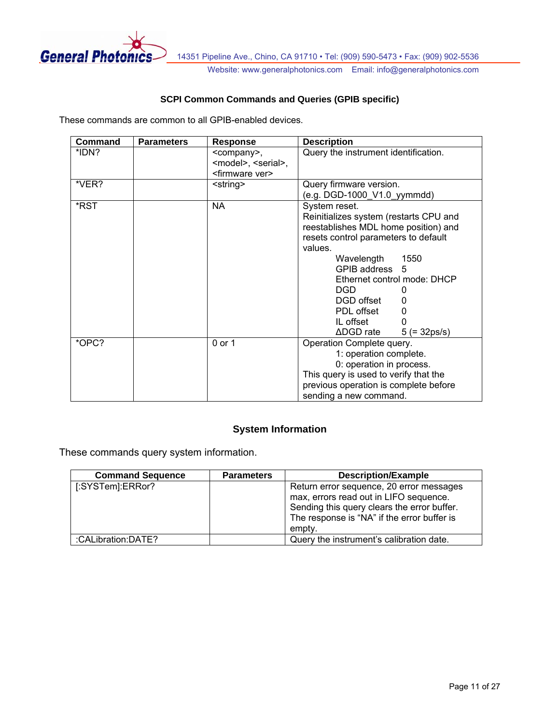

# **SCPI Common Commands and Queries (GPIB specific)**

These commands are common to all GPIB-enabled devices.

| Command | <b>Parameters</b> | Response                            | <b>Description</b>                             |
|---------|-------------------|-------------------------------------|------------------------------------------------|
| *IDN?   |                   | <company>,</company>                | Query the instrument identification.           |
|         |                   | <model>, <serial>,</serial></model> |                                                |
|         |                   | <firmware ver=""></firmware>        |                                                |
| *VER?   |                   | <string></string>                   | Query firmware version.                        |
|         |                   |                                     | (e.g. DGD-1000_V1.0_yymmdd)                    |
| *RST    |                   | <b>NA</b>                           | System reset.                                  |
|         |                   |                                     | Reinitializes system (restarts CPU and         |
|         |                   |                                     | reestablishes MDL home position) and           |
|         |                   |                                     | resets control parameters to default           |
|         |                   |                                     | values.                                        |
|         |                   |                                     | Wavelength<br>1550                             |
|         |                   |                                     | GPIB address 5                                 |
|         |                   |                                     | Ethernet control mode: DHCP                    |
|         |                   |                                     | DGD                                            |
|         |                   |                                     | DGD offset                                     |
|         |                   |                                     | PDL offset<br>0                                |
|         |                   |                                     | IL offset                                      |
|         |                   |                                     | $\triangle$ DGD rate<br>$5 (= 32 \text{ps/s})$ |
| *OPC?   |                   | 0 or 1                              | Operation Complete query.                      |
|         |                   |                                     | 1: operation complete.                         |
|         |                   |                                     | 0: operation in process.                       |
|         |                   |                                     | This query is used to verify that the          |
|         |                   |                                     | previous operation is complete before          |
|         |                   |                                     | sending a new command.                         |

# **System Information**

These commands query system information.

| <b>Command Sequence</b> | <b>Parameters</b> | <b>Description/Example</b>                                                                                                                                                                 |
|-------------------------|-------------------|--------------------------------------------------------------------------------------------------------------------------------------------------------------------------------------------|
| [:SYSTem]:ERRor?        |                   | Return error sequence, 20 error messages<br>max, errors read out in LIFO sequence.<br>Sending this query clears the error buffer.<br>The response is "NA" if the error buffer is<br>empty. |
| :CALibration:DATE?      |                   | Query the instrument's calibration date.                                                                                                                                                   |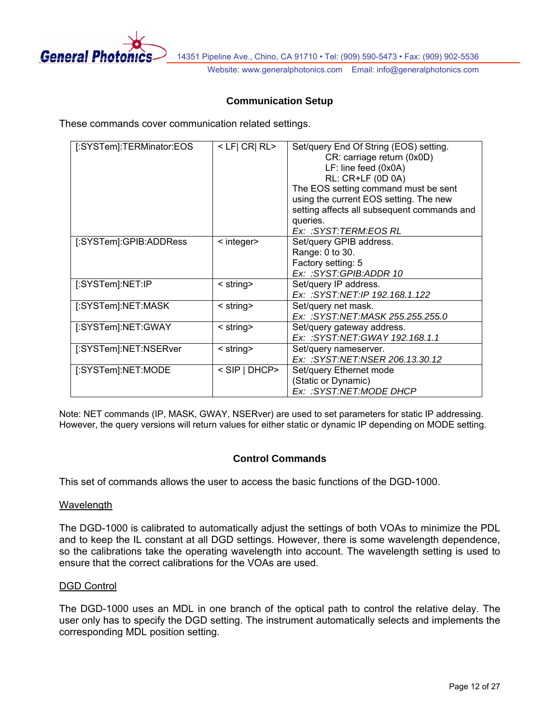

### **Communication Setup**

These commands cover communication related settings.

| [:SYSTem]:TERMinator:EOS | $<$ LF  CR  RL $>$    | Set/query End Of String (EOS) setting.<br>CR: carriage return (0x0D)<br>LF: line feed (0x0A)<br>RL: CR+LF (0D 0A)<br>The EOS setting command must be sent<br>using the current EOS setting. The new<br>setting affects all subsequent commands and<br>queries.<br>Ex: :SYST:TERM:EOS RL |
|--------------------------|-----------------------|-----------------------------------------------------------------------------------------------------------------------------------------------------------------------------------------------------------------------------------------------------------------------------------------|
| [:SYSTem]:GPIB:ADDRess   | $\leq$ integer $\geq$ | Set/query GPIB address.<br>Range: 0 to 30.<br>Factory setting: 5<br>Ex: :SYST:GPIB:ADDR 10                                                                                                                                                                                              |
| [:SYSTem]:NET:IP         | $\le$ string $\ge$    | Set/query IP address.<br>Ex: :SYST:NET:IP 192.168.1.122                                                                                                                                                                                                                                 |
| [:SYSTem]:NET:MASK       | $\le$ string $\ge$    | Set/query net mask.<br>Ex: :SYST:NET:MASK 255.255.255.0                                                                                                                                                                                                                                 |
| [:SYSTem]:NET:GWAY       | $\le$ string $\ge$    | Set/query gateway address.<br>Ex: :SYST:NET:GWAY 192.168.1.1                                                                                                                                                                                                                            |
| [:SYSTem]:NET:NSERver    | $\le$ string $\ge$    | Set/query nameserver.<br>Ex: :SYST:NET:NSER 206.13.30.12                                                                                                                                                                                                                                |
| [:SYSTem]:NET:MODE       | < SIP   DHCP>         | Set/query Ethernet mode<br>(Static or Dynamic)<br>Ex: :SYST:NET:MODE DHCP                                                                                                                                                                                                               |

Note: NET commands (IP, MASK, GWAY, NSERver) are used to set parameters for static IP addressing. However, the query versions will return values for either static or dynamic IP depending on MODE setting.

#### **Control Commands**

This set of commands allows the user to access the basic functions of the DGD-1000.

#### **Wavelength**

The DGD-1000 is calibrated to automatically adjust the settings of both VOAs to minimize the PDL and to keep the IL constant at all DGD settings. However, there is some wavelength dependence, so the calibrations take the operating wavelength into account. The wavelength setting is used to ensure that the correct calibrations for the VOAs are used.

#### DGD Control

The DGD-1000 uses an MDL in one branch of the optical path to control the relative delay. The user only has to specify the DGD setting. The instrument automatically selects and implements the corresponding MDL position setting.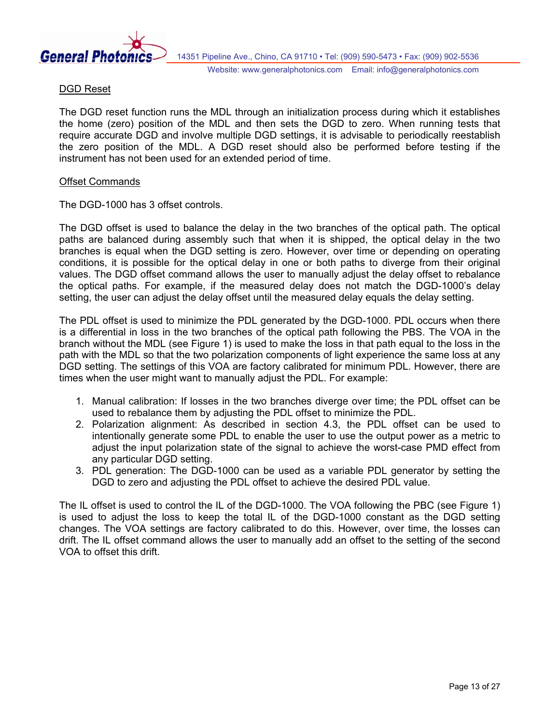

#### DGD Reset

The DGD reset function runs the MDL through an initialization process during which it establishes the home (zero) position of the MDL and then sets the DGD to zero. When running tests that require accurate DGD and involve multiple DGD settings, it is advisable to periodically reestablish the zero position of the MDL. A DGD reset should also be performed before testing if the instrument has not been used for an extended period of time.

#### Offset Commands

The DGD-1000 has 3 offset controls.

The DGD offset is used to balance the delay in the two branches of the optical path. The optical paths are balanced during assembly such that when it is shipped, the optical delay in the two branches is equal when the DGD setting is zero. However, over time or depending on operating conditions, it is possible for the optical delay in one or both paths to diverge from their original values. The DGD offset command allows the user to manually adjust the delay offset to rebalance the optical paths. For example, if the measured delay does not match the DGD-1000's delay setting, the user can adjust the delay offset until the measured delay equals the delay setting.

The PDL offset is used to minimize the PDL generated by the DGD-1000. PDL occurs when there is a differential in loss in the two branches of the optical path following the PBS. The VOA in the branch without the MDL (see [Figure 1\)](#page-3-1) is used to make the loss in that path equal to the loss in the path with the MDL so that the two polarization components of light experience the same loss at any DGD setting. The settings of this VOA are factory calibrated for minimum PDL. However, there are times when the user might want to manually adjust the PDL. For example:

- 1. Manual calibration: If losses in the two branches diverge over time; the PDL offset can be used to rebalance them by adjusting the PDL offset to minimize the PDL.
- 2. Polarization alignment: As described in section 4.3, the PDL offset can be used to intentionally generate some PDL to enable the user to use the output power as a metric to adjust the input polarization state of the signal to achieve the worst-case PMD effect from any particular DGD setting.
- 3. PDL generation: The DGD-1000 can be used as a variable PDL generator by setting the DGD to zero and adjusting the PDL offset to achieve the desired PDL value.

The IL offset is used to control the IL of the DGD-1000. The VOA following the PBC (see [Figure 1\)](#page-3-1) is used to adjust the loss to keep the total IL of the DGD-1000 constant as the DGD setting changes. The VOA settings are factory calibrated to do this. However, over time, the losses can drift. The IL offset command allows the user to manually add an offset to the setting of the second VOA to offset this drift.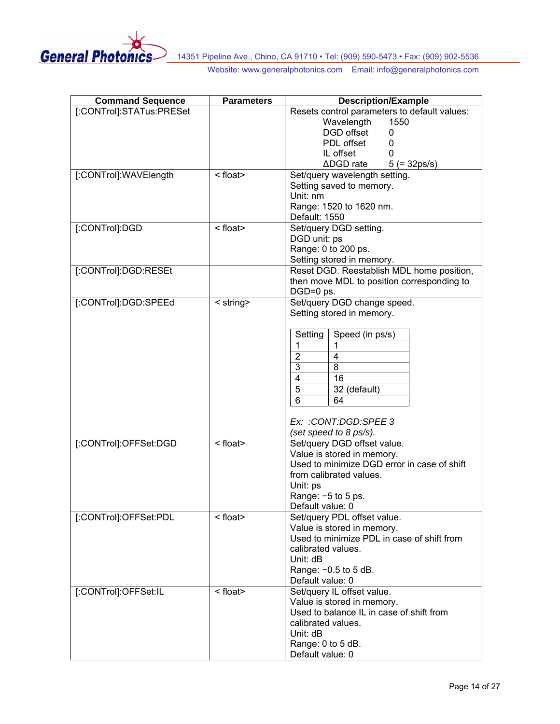

| <b>Command Sequence</b>  | <b>Parameters</b> | <b>Description/Example</b>                     |
|--------------------------|-------------------|------------------------------------------------|
| [:CONTrol]:STATus:PRESet |                   | Resets control parameters to default values:   |
|                          |                   | Wavelength<br>1550                             |
|                          |                   | DGD offset<br>0                                |
|                          |                   | PDL offset<br>0                                |
|                          |                   | IL offset                                      |
|                          |                   | $\triangle$ DGD rate<br>$5 (= 32 \text{ps/s})$ |
| [:CONTrol]:WAVElength    | < float>          | Set/query wavelength setting.                  |
|                          |                   | Setting saved to memory.                       |
|                          |                   | Unit: nm                                       |
|                          |                   | Range: 1520 to 1620 nm.                        |
|                          |                   |                                                |
|                          |                   | Default: 1550                                  |
| [:CONTrol]:DGD           | <float></float>   | Set/query DGD setting.                         |
|                          |                   | DGD unit: ps                                   |
|                          |                   | Range: 0 to 200 ps.                            |
|                          |                   | Setting stored in memory.                      |
| [:CONTrol]:DGD:RESEt     |                   | Reset DGD. Reestablish MDL home position,      |
|                          |                   | then move MDL to position corresponding to     |
|                          |                   | DGD=0 ps.                                      |
| [:CONTrol]:DGD:SPEEd     | < string>         | Set/query DGD change speed.                    |
|                          |                   | Setting stored in memory.                      |
|                          |                   |                                                |
|                          |                   | Speed (in ps/s)<br>Setting                     |
|                          |                   | $\mathbf{1}$<br>1                              |
|                          |                   | $\overline{2}$<br>4                            |
|                          |                   |                                                |
|                          |                   | 3<br>8                                         |
|                          |                   | $\overline{4}$<br>16                           |
|                          |                   | 5<br>32 (default)                              |
|                          |                   | $6\phantom{1}$<br>64                           |
|                          |                   |                                                |
|                          |                   | Ex: : CONT: DGD: SPEE 3                        |
|                          |                   | (set speed to 8 ps/s).                         |
| [:CONTrol]:OFFSet:DGD    | <float></float>   | Set/query DGD offset value.                    |
|                          |                   | Value is stored in memory.                     |
|                          |                   | Used to minimize DGD error in case of shift    |
|                          |                   | from calibrated values.                        |
|                          |                   | Unit: ps                                       |
|                          |                   | Range: $-5$ to 5 ps.                           |
|                          |                   | Default value: 0                               |
| [:CONTrol]:OFFSet:PDL    | <float></float>   |                                                |
|                          |                   | Set/query PDL offset value.                    |
|                          |                   | Value is stored in memory.                     |
|                          |                   | Used to minimize PDL in case of shift from     |
|                          |                   | calibrated values.                             |
|                          |                   | Unit: dB                                       |
|                          |                   | Range: -0.5 to 5 dB.                           |
|                          |                   | Default value: 0                               |
| [:CONTrol]:OFFSet:IL     | < float>          | Set/query IL offset value.                     |
|                          |                   | Value is stored in memory.                     |
|                          |                   | Used to balance IL in case of shift from       |
|                          |                   | calibrated values.                             |
|                          |                   | Unit: dB                                       |
|                          |                   | Range: 0 to 5 dB.                              |
|                          |                   | Default value: 0                               |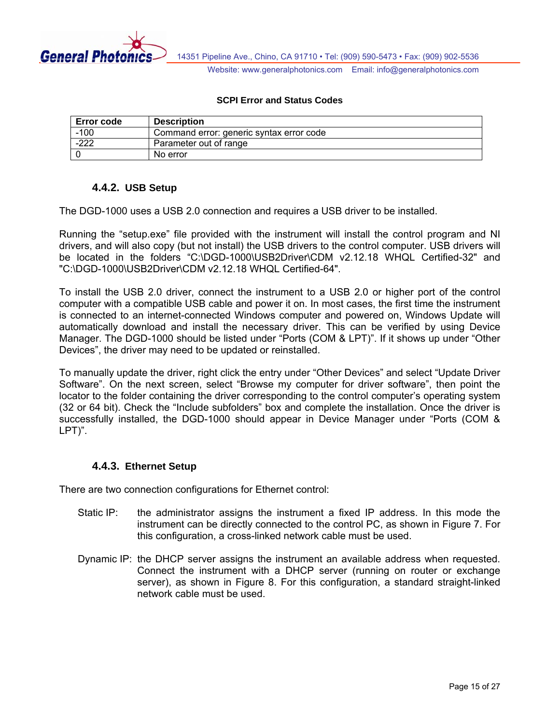<span id="page-14-0"></span>

#### **SCPI Error and Status Codes**

| <b>Error code</b> | <b>Description</b>                       |
|-------------------|------------------------------------------|
| $-100$            | Command error: generic syntax error code |
| $-222$            | Parameter out of range                   |
|                   | No error                                 |

### **4.4.2. USB Setup**

The DGD-1000 uses a USB 2.0 connection and requires a USB driver to be installed.

Running the "setup.exe" file provided with the instrument will install the control program and NI drivers, and will also copy (but not install) the USB drivers to the control computer. USB drivers will be located in the folders "C:\DGD-1000\USB2Driver\CDM v2.12.18 WHQL Certified-32" and "C:\DGD-1000\USB2Driver\CDM v2.12.18 WHQL Certified-64".

To install the USB 2.0 driver, connect the instrument to a USB 2.0 or higher port of the control computer with a compatible USB cable and power it on. In most cases, the first time the instrument is connected to an internet-connected Windows computer and powered on, Windows Update will automatically download and install the necessary driver. This can be verified by using Device Manager. The DGD-1000 should be listed under "Ports (COM & LPT)". If it shows up under "Other Devices", the driver may need to be updated or reinstalled.

To manually update the driver, right click the entry under "Other Devices" and select "Update Driver Software". On the next screen, select "Browse my computer for driver software", then point the locator to the folder containing the driver corresponding to the control computer's operating system (32 or 64 bit). Check the "Include subfolders" box and complete the installation. Once the driver is successfully installed, the DGD-1000 should appear in Device Manager under "Ports (COM & LPT)".

### **4.4.3. Ethernet Setup**

There are two connection configurations for Ethernet control:

- Static IP: the administrator assigns the instrument a fixed IP address. In this mode the instrument can be directly connected to the control PC, as shown in [Figure 7](#page-15-1). For this configuration, a cross-linked network cable must be used.
- Dynamic IP: the DHCP server assigns the instrument an available address when requested. Connect the instrument with a DHCP server (running on router or exchange server), as shown in Figure 8. For this configuration, a standard straight-linked network cable must be used.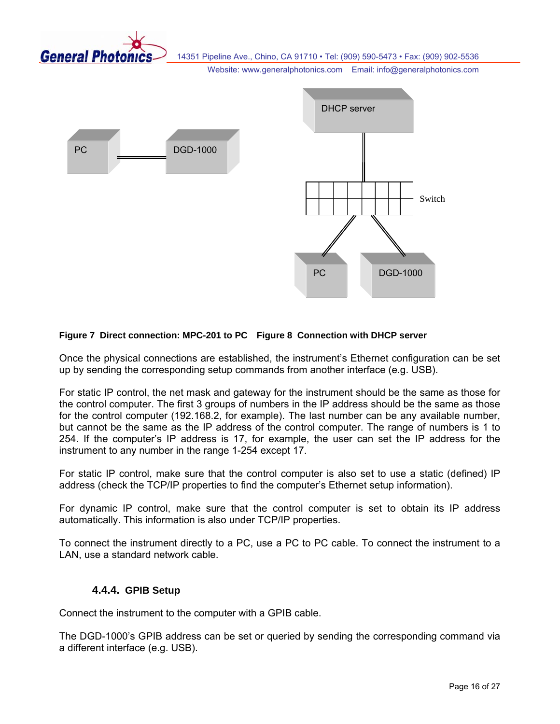<span id="page-15-0"></span>

14351 Pipeline Ave., Chino, CA 91710 • Tel: (909) 590-5473 • Fax: (909) 902-5536

Website: www.generalphotonics.com Email: info@generalphotonics.com



#### <span id="page-15-1"></span>**Figure 7 Direct connection: MPC-201 to PC Figure 8 Connection with DHCP server**

Once the physical connections are established, the instrument's Ethernet configuration can be set up by sending the corresponding setup commands from another interface (e.g. USB).

For static IP control, the net mask and gateway for the instrument should be the same as those for the control computer. The first 3 groups of numbers in the IP address should be the same as those for the control computer (192.168.2, for example). The last number can be any available number, but cannot be the same as the IP address of the control computer. The range of numbers is 1 to 254. If the computer's IP address is 17, for example, the user can set the IP address for the instrument to any number in the range 1-254 except 17.

For static IP control, make sure that the control computer is also set to use a static (defined) IP address (check the TCP/IP properties to find the computer's Ethernet setup information).

For dynamic IP control, make sure that the control computer is set to obtain its IP address automatically. This information is also under TCP/IP properties.

To connect the instrument directly to a PC, use a PC to PC cable. To connect the instrument to a LAN, use a standard network cable.

#### **4.4.4. GPIB Setup**

Connect the instrument to the computer with a GPIB cable.

The DGD-1000's GPIB address can be set or queried by sending the corresponding command via a different interface (e.g. USB).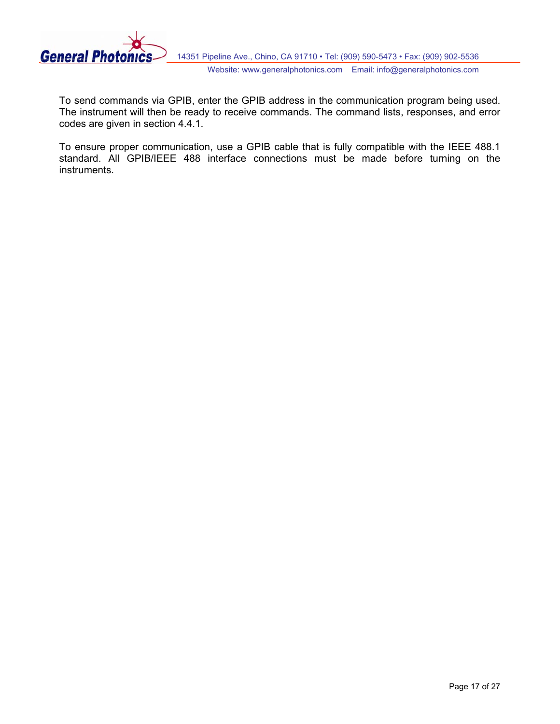

To send commands via GPIB, enter the GPIB address in the communication program being used. The instrument will then be ready to receive commands. The command lists, responses, and error codes are given in section 4.4.1.

To ensure proper communication, use a GPIB cable that is fully compatible with the IEEE 488.1 standard. All GPIB/IEEE 488 interface connections must be made before turning on the instruments.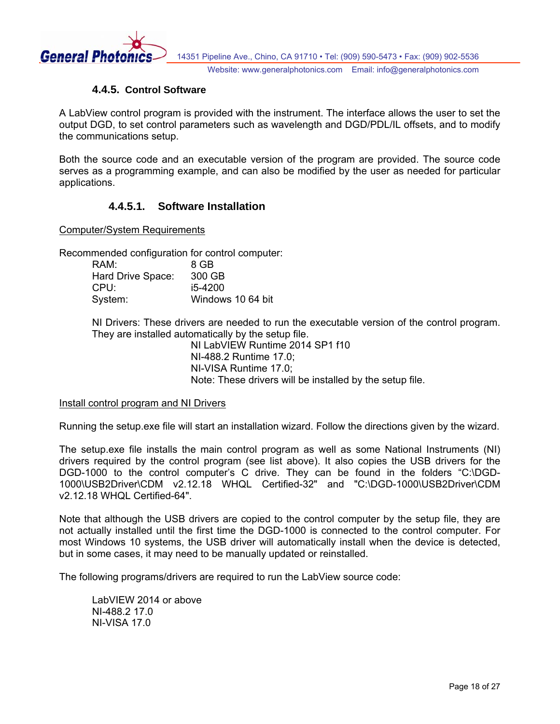<span id="page-17-0"></span>

#### **4.4.5. Control Software**

A LabView control program is provided with the instrument. The interface allows the user to set the output DGD, to set control parameters such as wavelength and DGD/PDL/IL offsets, and to modify the communications setup.

Both the source code and an executable version of the program are provided. The source code serves as a programming example, and can also be modified by the user as needed for particular applications.

# **4.4.5.1. Software Installation**

Computer/System Requirements

Recommended configuration for control computer:

| RAM:              | 8 GB              |
|-------------------|-------------------|
| Hard Drive Space: | 300 GB            |
| CPU:              | i5-4200           |
| System:           | Windows 10 64 bit |

NI Drivers: These drivers are needed to run the executable version of the control program. They are installed automatically by the setup file.

> NI LabVIEW Runtime 2014 SP1 f10 NI-488.2 Runtime 17.0; NI-VISA Runtime 17.0; Note: These drivers will be installed by the setup file.

#### Install control program and NI Drivers

Running the setup.exe file will start an installation wizard. Follow the directions given by the wizard.

The setup.exe file installs the main control program as well as some National Instruments (NI) drivers required by the control program (see list above). It also copies the USB drivers for the DGD-1000 to the control computer's C drive. They can be found in the folders "C:\DGD-1000\USB2Driver\CDM v2.12.18 WHQL Certified-32" and "C:\DGD-1000\USB2Driver\CDM v2.12.18 WHQL Certified-64".

Note that although the USB drivers are copied to the control computer by the setup file, they are not actually installed until the first time the DGD-1000 is connected to the control computer. For most Windows 10 systems, the USB driver will automatically install when the device is detected, but in some cases, it may need to be manually updated or reinstalled.

The following programs/drivers are required to run the LabView source code:

LabVIEW 2014 or above NI-488.2 17.0 NI-VISA 17.0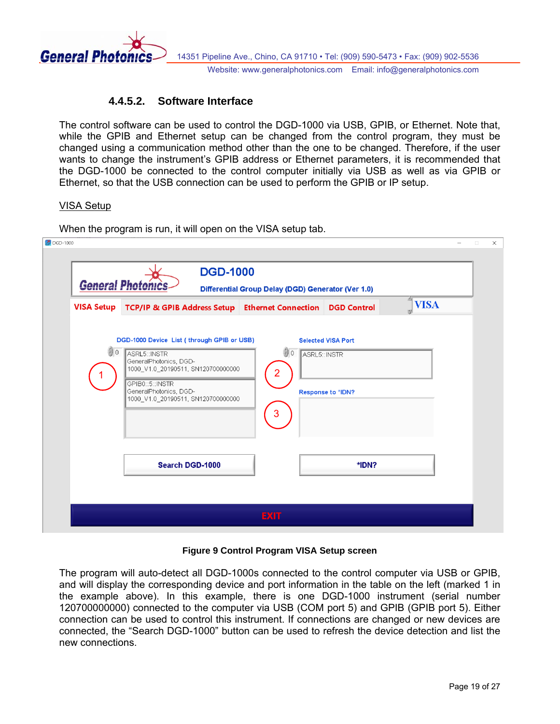<span id="page-18-0"></span>

# **4.4.5.2. Software Interface**

The control software can be used to control the DGD-1000 via USB, GPIB, or Ethernet. Note that, while the GPIB and Ethernet setup can be changed from the control program, they must be changed using a communication method other than the one to be changed. Therefore, if the user wants to change the instrument's GPIB address or Ethernet parameters, it is recommended that the DGD-1000 be connected to the control computer initially via USB as well as via GPIB or Ethernet, so that the USB connection can be used to perform the GPIB or IP setup.

#### VISA Setup

When the program is run, it will open on the VISA setup tab.

| <b>VISA Setup</b> | <b>TCP/IP &amp; GPIB Address Setup Ethernet Connection</b>                                                                                                                                                     |                                   | <b>DGD Control</b>                             | 却<br><b>VISA</b><br>πř |
|-------------------|----------------------------------------------------------------------------------------------------------------------------------------------------------------------------------------------------------------|-----------------------------------|------------------------------------------------|------------------------|
| $\theta$ 0        | DGD-1000 Device List (through GPIB or USB)<br>ASRL5:: INSTR<br>GeneralPhotonics, DGD-<br>1000_V1.0_20190511, SN120700000000<br>GPIB0::5::INSTR<br>GeneralPhotonics, DGD-<br>1000 V1.0 20190511, SN120700000000 | $\bigcirc$ 0<br>ASRL5::INSTR<br>3 | <b>Selected VISA Port</b><br>Response to *IDN? |                        |
|                   | Search DGD-1000                                                                                                                                                                                                |                                   | *IDN?                                          |                        |

#### **Figure 9 Control Program VISA Setup screen**

<span id="page-18-1"></span>The program will auto-detect all DGD-1000s connected to the control computer via USB or GPIB, and will display the corresponding device and port information in the table on the left (marked 1 in the example above). In this example, there is one DGD-1000 instrument (serial number 120700000000) connected to the computer via USB (COM port 5) and GPIB (GPIB port 5). Either connection can be used to control this instrument. If connections are changed or new devices are connected, the "Search DGD-1000" button can be used to refresh the device detection and list the new connections.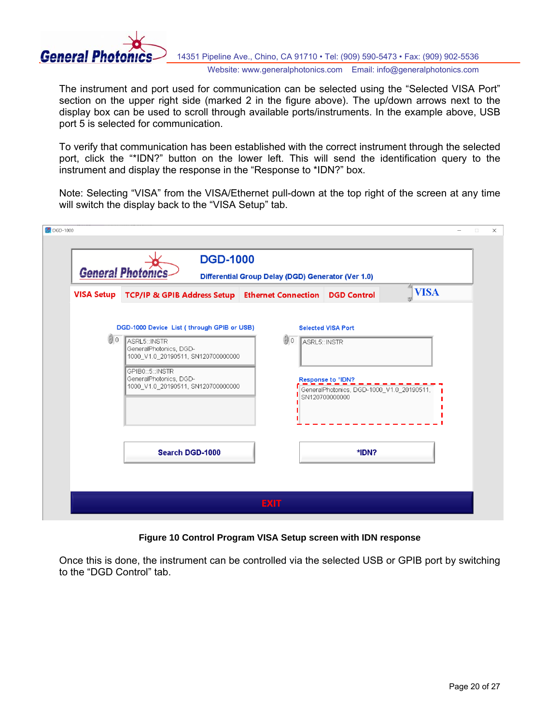

The instrument and port used for communication can be selected using the "Selected VISA Port" section on the upper right side (marked 2 in the figure above). The up/down arrows next to the display box can be used to scroll through available ports/instruments. In the example above, USB port 5 is selected for communication.

To verify that communication has been established with the correct instrument through the selected port, click the "\*IDN?" button on the lower left. This will send the identification query to the instrument and display the response in the "Response to \*IDN?" box.

Note: Selecting "VISA" from the VISA/Ethernet pull-down at the top right of the screen at any time will switch the display back to the "VISA Setup" tab.

| <b>VISA Setup</b> | <b>TCP/IP &amp; GPIB Address Setup Ethernet Connection</b>                                                                                                                                                    |               | <b>DGD Control</b>                                                                                                            | 档<br><b>VISA</b> |
|-------------------|---------------------------------------------------------------------------------------------------------------------------------------------------------------------------------------------------------------|---------------|-------------------------------------------------------------------------------------------------------------------------------|------------------|
| (0                | DGD-1000 Device List (through GPIB or USB)<br>ASRL5::INSTR<br>GeneralPhotonics, DGD-<br>1000_V1.0_20190511, SN120700000000<br>GPIB0::5::INSTR<br>GeneralPhotonics, DGD-<br>1000_V1.0_20190511, SN120700000000 | $\bigoplus$ 0 | <b>Selected VISA Port</b><br>ASRL5: INSTR<br>Response to *IDN?<br>GeneralPhotonics, DGD-1000 V1.0 20190511,<br>SN120700000000 |                  |
|                   | Search DGD-1000                                                                                                                                                                                               |               | *IDN?                                                                                                                         |                  |

#### **Figure 10 Control Program VISA Setup screen with IDN response**

Once this is done, the instrument can be controlled via the selected USB or GPIB port by switching to the "DGD Control" tab.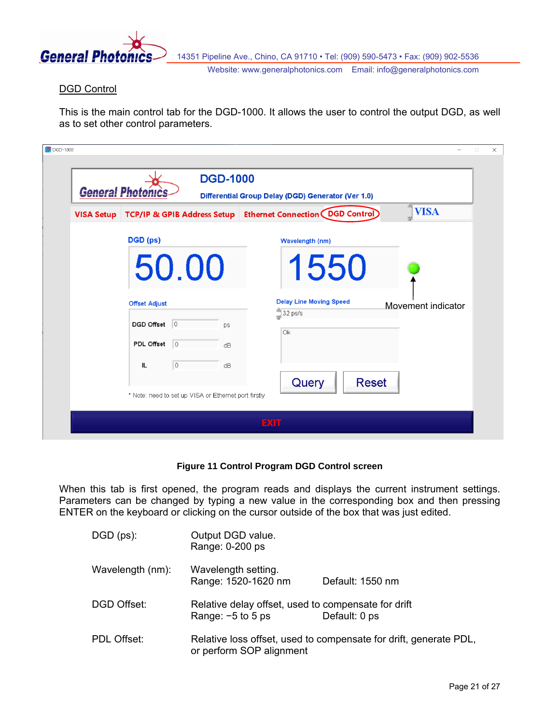

#### DGD Control

This is the main control tab for the DGD-1000. It allows the user to control the output DGD, as well as to set other control parameters.

| <b>VISA Setup</b> | TCP/IP & GPIB Address Setup |                |    | 西<br><b>VISA</b><br>Ethernet Connection (DGD Control) |
|-------------------|-----------------------------|----------------|----|-------------------------------------------------------|
|                   | DGD (ps)                    |                |    | Wavelength (nm)                                       |
|                   | 50.00                       |                |    | 1550                                                  |
|                   |                             |                |    |                                                       |
|                   | <b>Offset Adjust</b>        |                |    | <b>Delay Line Moving Speed</b><br>Movement indicator  |
|                   | DGD Offset 0                |                | ps | $32$ ps/s<br>Ok                                       |
|                   | PDL Offset                  | $ 0\rangle$    | dB |                                                       |
|                   | IL                          | $\overline{0}$ | dB |                                                       |

**Figure 11 Control Program DGD Control screen**

When this tab is first opened, the program reads and displays the current instrument settings. Parameters can be changed by typing a new value in the corresponding box and then pressing ENTER on the keyboard or clicking on the cursor outside of the box that was just edited.

| $DGD (ps)$ :     | Output DGD value.<br>Range: 0-200 ps                                       |                                                                   |
|------------------|----------------------------------------------------------------------------|-------------------------------------------------------------------|
| Wavelength (nm): | Wavelength setting.<br>Range: 1520-1620 nm                                 | Default: 1550 nm                                                  |
| DGD Offset:      | Relative delay offset, used to compensate for drift<br>Range: $-5$ to 5 ps | Default: 0 ps                                                     |
| PDL Offset:      | or perform SOP alignment                                                   | Relative loss offset, used to compensate for drift, generate PDL, |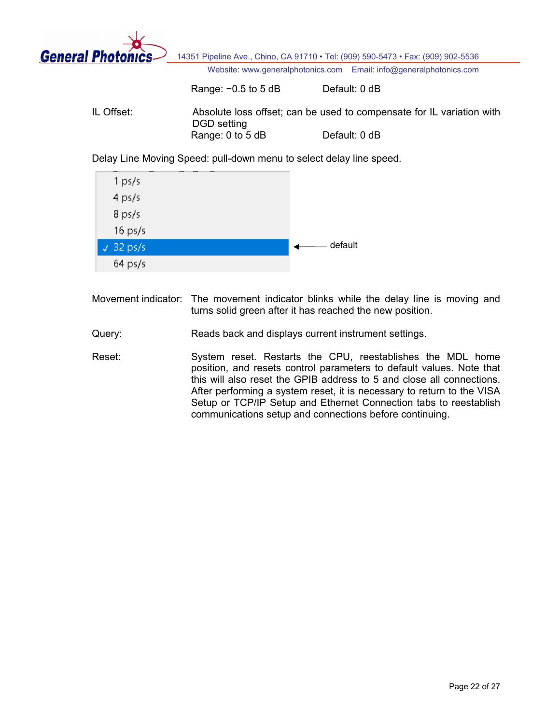

Range: −0.5 to 5 dB Default: 0 dB

IL Offset: Absolute loss offset; can be used to compensate for IL variation with DGD setting Range: 0 to 5 dB Default: 0 dB

Delay Line Moving Speed: pull-down menu to select delay line speed.



Movement indicator: The movement indicator blinks while the delay line is moving and turns solid green after it has reached the new position.

- Query: Reads back and displays current instrument settings.
- Reset: System reset. Restarts the CPU, reestablishes the MDL home position, and resets control parameters to default values. Note that this will also reset the GPIB address to 5 and close all connections. After performing a system reset, it is necessary to return to the VISA Setup or TCP/IP Setup and Ethernet Connection tabs to reestablish communications setup and connections before continuing.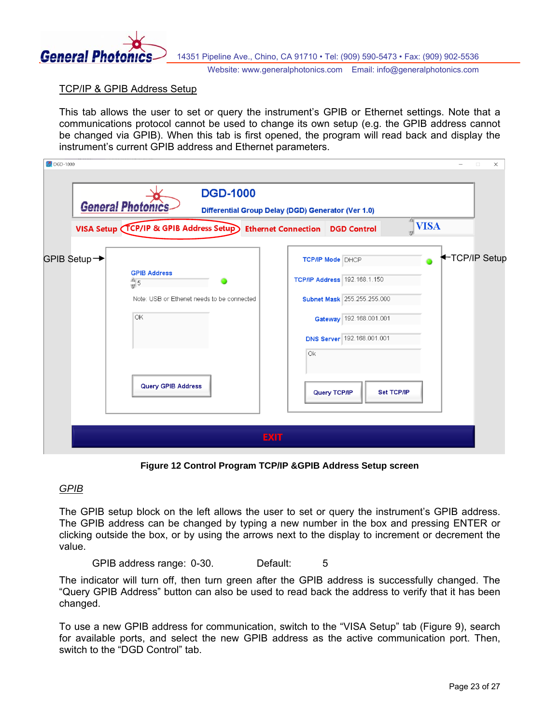

#### TCP/IP & GPIB Address Setup

This tab allows the user to set or query the instrument's GPIB or Ethernet settings. Note that a communications protocol cannot be used to change its own setup (e.g. the GPIB address cannot be changed via GPIB). When this tab is first opened, the program will read back and display the instrument's current GPIB address and Ethernet parameters.

| DGD-1000     |                                                                                                                         | $\times$<br>$\Box$                                                                                                                                                                                         |
|--------------|-------------------------------------------------------------------------------------------------------------------------|------------------------------------------------------------------------------------------------------------------------------------------------------------------------------------------------------------|
|              | <b>DGD-1000</b><br><b>General Photo</b><br>VISA Setup (TCP/IP & GPIB Address Setup) Ethernet Connection DGD Control     | Differential Group Delay (DGD) Generator (Ver 1.0)<br>画<br><b>VISA</b>                                                                                                                                     |
| GPIB Setup → | <b>GPIB Address</b><br>$\frac{2}{3}$ 5<br>Note: USB or Ethenet needs to be connected<br>OK<br><b>Query GPIB Address</b> | TCP/IP Setup<br><b>TCP/IP Mode DHCP</b><br>TCP/IP Address 192.168.1.150<br>Subnet Mask 255.255.255.000<br>Gateway 192.168.001.001<br><b>DNS Server</b> 192.168.001.001<br>Ok<br>Query TCP/IP<br>Set TCP/IP |
|              | <b>EXIT</b>                                                                                                             |                                                                                                                                                                                                            |

**Figure 12 Control Program TCP/IP &GPIB Address Setup screen**

#### *GPIB*

The GPIB setup block on the left allows the user to set or query the instrument's GPIB address. The GPIB address can be changed by typing a new number in the box and pressing ENTER or clicking outside the box, or by using the arrows next to the display to increment or decrement the value.

GPIB address range: 0-30. Default: 5

The indicator will turn off, then turn green after the GPIB address is successfully changed. The "Query GPIB Address" button can also be used to read back the address to verify that it has been changed.

To use a new GPIB address for communication, switch to the "VISA Setup" tab [\(Figure 9\)](#page-18-1), search for available ports, and select the new GPIB address as the active communication port. Then, switch to the "DGD Control" tab.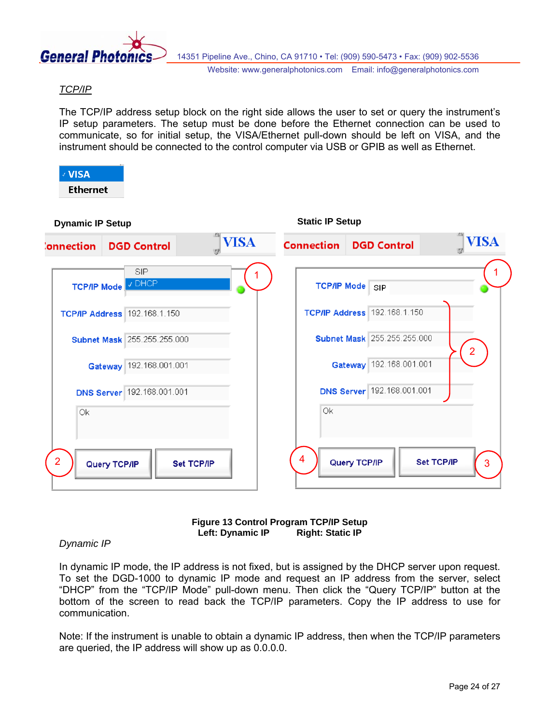

#### *TCP/IP*

The TCP/IP address setup block on the right side allows the user to set or query the instrument's IP setup parameters. The setup must be done before the Ethernet connection can be used to communicate, so for initial setup, the VISA/Ethernet pull-down should be left on VISA, and the instrument should be connected to the control computer via USB or GPIB as well as Ethernet.





#### *Dynamic IP*

In dynamic IP mode, the IP address is not fixed, but is assigned by the DHCP server upon request. To set the DGD-1000 to dynamic IP mode and request an IP address from the server, select "DHCP" from the "TCP/IP Mode" pull-down menu. Then click the "Query TCP/IP" button at the bottom of the screen to read back the TCP/IP parameters. Copy the IP address to use for communication.

Note: If the instrument is unable to obtain a dynamic IP address, then when the TCP/IP parameters are queried, the IP address will show up as 0.0.0.0.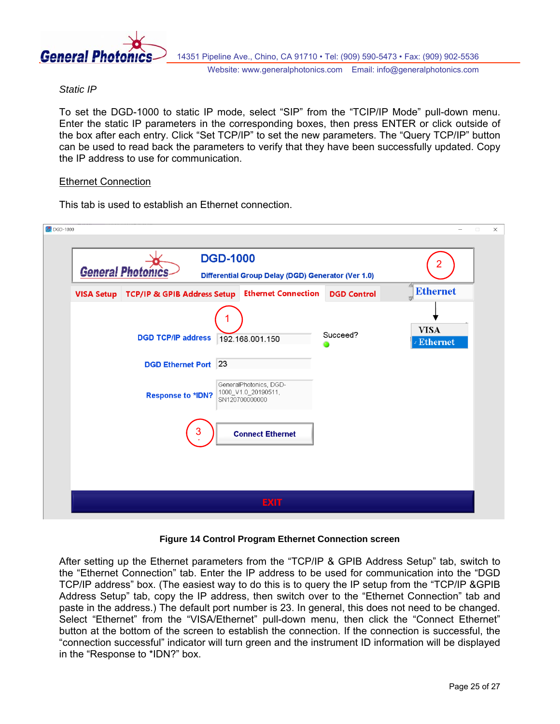

#### *Static IP*

To set the DGD-1000 to static IP mode, select "SIP" from the "TCIP/IP Mode" pull-down menu. Enter the static IP parameters in the corresponding boxes, then press ENTER or click outside of the box after each entry. Click "Set TCP/IP" to set the new parameters. The "Query TCP/IP" button can be used to read back the parameters to verify that they have been successfully updated. Copy the IP address to use for communication.

#### Ethernet Connection

This tab is used to establish an Ethernet connection.

| DGD-1000                                                                                                                                                                                                                 | $\Box$<br>$\times$<br>$\overline{\phantom{0}}$ |
|--------------------------------------------------------------------------------------------------------------------------------------------------------------------------------------------------------------------------|------------------------------------------------|
|                                                                                                                                                                                                                          |                                                |
| <b>DGD-1000</b><br>2<br><b>General Photon</b><br>Differential Group Delay (DGD) Generator (Ver 1.0)                                                                                                                      |                                                |
| 西<br><b>Ethernet</b><br><b>Ethernet Connection</b><br>VISA Setup   TCP/IP & GPIB Address Setup<br><b>DGD Control</b><br>w                                                                                                |                                                |
| <b>VISA</b><br>Succeed?<br><b>DGD TCP/IP address</b><br>192.168.001.150<br><b>Ethernet</b><br><b>DGD Ethernet Port</b> 23<br>GeneralPhotonics, DGD-<br>1000_V1.0_20190511,<br><b>Response to *IDN?</b><br>SN120700000000 |                                                |
| 3<br><b>Connect Ethernet</b>                                                                                                                                                                                             |                                                |
| <b>EXIT</b>                                                                                                                                                                                                              |                                                |

#### **Figure 14 Control Program Ethernet Connection screen**

After setting up the Ethernet parameters from the "TCP/IP & GPIB Address Setup" tab, switch to the "Ethernet Connection" tab. Enter the IP address to be used for communication into the "DGD TCP/IP address" box. (The easiest way to do this is to query the IP setup from the "TCP/IP &GPIB Address Setup" tab, copy the IP address, then switch over to the "Ethernet Connection" tab and paste in the address.) The default port number is 23. In general, this does not need to be changed. Select "Ethernet" from the "VISA/Ethernet" pull-down menu, then click the "Connect Ethernet" button at the bottom of the screen to establish the connection. If the connection is successful, the "connection successful" indicator will turn green and the instrument ID information will be displayed in the "Response to \*IDN?" box.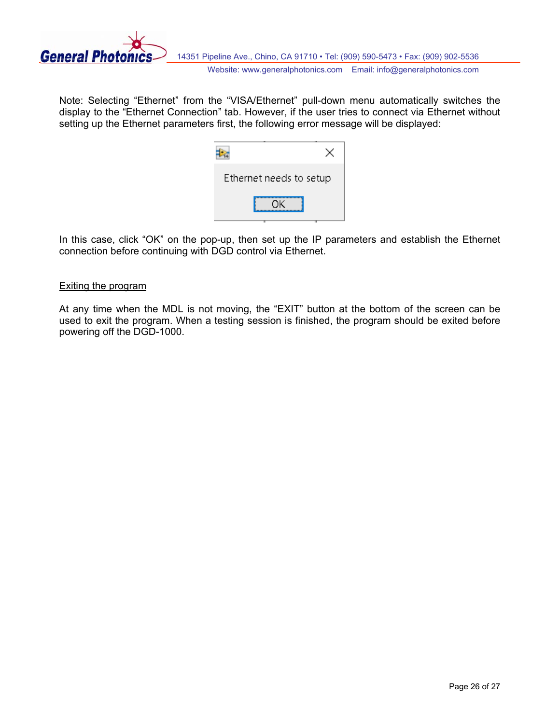

Note: Selecting "Ethernet" from the "VISA/Ethernet" pull-down menu automatically switches the display to the "Ethernet Connection" tab. However, if the user tries to connect via Ethernet without setting up the Ethernet parameters first, the following error message will be displayed:

| Ethernet needs to setup |  |
|-------------------------|--|
| nκ                      |  |

In this case, click "OK" on the pop-up, then set up the IP parameters and establish the Ethernet connection before continuing with DGD control via Ethernet.

#### Exiting the program

At any time when the MDL is not moving, the "EXIT" button at the bottom of the screen can be used to exit the program. When a testing session is finished, the program should be exited before powering off the DGD-1000.